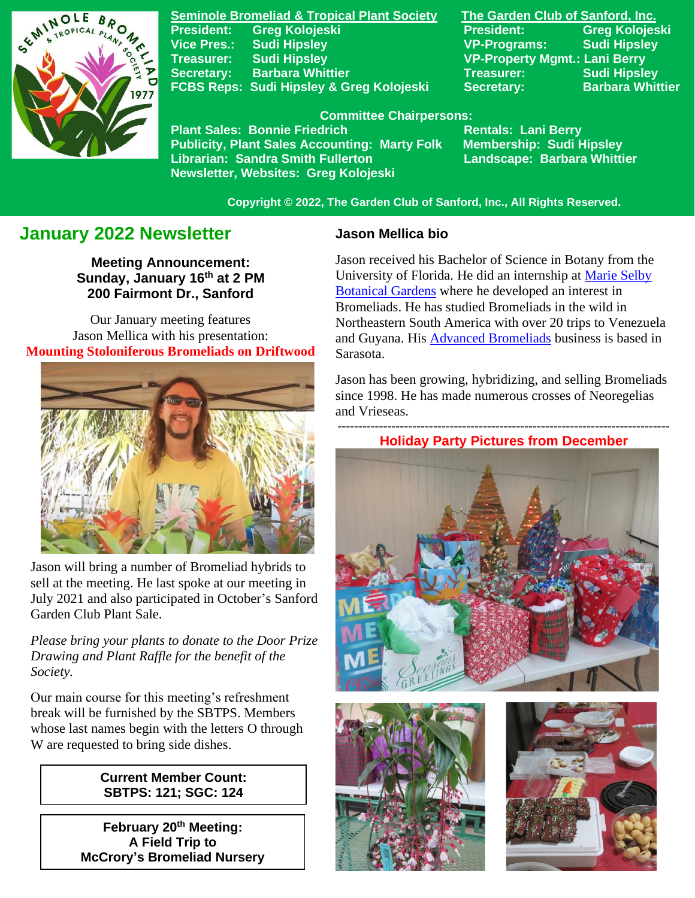

**Seminole Bromeliad & Tropical Plant Society The Garden Club of Sanford, Inc. Vice Pres.: Sudi Hipsley VP-Programs: Sudi Hipsley Treasurer: Sudi Hipsley VP-Property Mgmt.: Lani Berry Secretary:** Barbara Whittier **Network Treasurer:** Sudi Hipsley FCBS Reps: Sudi Hipsley & Greg Kolojeski Secretary: Barbara Whittier

**President: Greg Kolojeski President: Greg Kolojeski** 

 **Committee Chairpersons:**

Plant Sales: Bonnie Friedrich **Nentals: Lani Berry<br>Publicity, Plant Sales Accounting: Marty Folk Membership: Sudi Hipsley Publicity, Plant Sales Accounting: Marty Folk Librarian: Sandra Smith Fullerton Landscape: Barbara Whittier Newsletter, Websites: Greg Kolojeski**

 **Copyright © 2022, The Garden Club of Sanford, Inc., All Rights Reserved.**

# **January 2022 Newsletter**

**Meeting Announcement: Sunday, January 16 th at 2 PM 200 Fairmont Dr., Sanford**

Our January meeting features Jason Mellica with his presentation: **Mounting Stoloniferous Bromeliads on Driftwood**



 Jason will bring a number of Bromeliad hybrids to sell at the meeting. He last spoke at our meeting in July 2021 and also participated in October's Sanford Garden Club Plant Sale.

*Please bring your plants to donate to the Door Prize Drawing and Plant Raffle for the benefit of the Society.*

Our main course for this meeting's refreshment break will be furnished by the SBTPS. Members whose last names begin with the letters O through W are requested to bring side dishes.

### **Current Member Count: SBTPS: 121; SGC: 124**

**February 20th Meeting: A Field Trip to McCrory's Bromeliad Nursery**

### **Jason Mellica bio**

Jason received his Bachelor of Science in Botany from the University of Florida. He did an internship at [Marie Selby](https://selby.org/)  [Botanical Gardens](https://selby.org/) where he developed an interest in Bromeliads. He has studied Bromeliads in the wild in Northeastern South America with over 20 trips to Venezuela and Guyana. His [Advanced Bromeliads](http://advancedbromeliads.com/) business is based in Sarasota.

Jason has been growing, hybridizing, and selling Bromeliads since 1998. He has made numerous crosses of Neoregelias and Vrieseas.